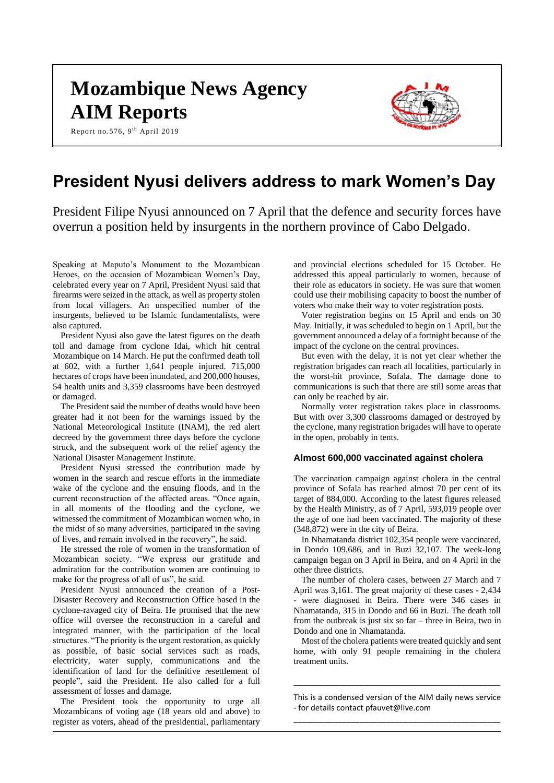# **Mozambique News Agency AIM Reports**

Report no.576, 9<sup>th</sup> April 2019



# **President Nyusi delivers address to mark Women's Day**

President Filipe Nyusi announced on 7 April that the defence and security forces have overrun a position held by insurgents in the northern province of Cabo Delgado.

Speaking at Maputo's Monument to the Mozambican Heroes, on the occasion of Mozambican Women's Day, celebrated every year on 7 April, President Nyusi said that firearms were seized in the attack, as well as property stolen from local villagers. An unspecified number of the insurgents, believed to be Islamic fundamentalists, were also captured.

President Nyusi also gave the latest figures on the death toll and damage from cyclone Idai, which hit central Mozambique on 14 March. He put the confirmed death toll at 602, with a further 1,641 people injured. 715,000 hectares of crops have been inundated, and 200,000 houses, 54 health units and 3,359 classrooms have been destroyed or damaged.

The President said the number of deaths would have been greater had it not been for the warnings issued by the National Meteorological Institute (INAM), the red alert decreed by the government three days before the cyclone struck, and the subsequent work of the relief agency the National Disaster Management Institute.

President Nyusi stressed the contribution made by women in the search and rescue efforts in the immediate wake of the cyclone and the ensuing floods, and in the current reconstruction of the affected areas. "Once again, in all moments of the flooding and the cyclone, we witnessed the commitment of Mozambican women who, in the midst of so many adversities, participated in the saving of lives, and remain involved in the recovery", he said.

He stressed the role of women in the transformation of Mozambican society. "We express our gratitude and admiration for the contribution women are continuing to make for the progress of all of us", he said.

President Nyusi announced the creation of a Post-Disaster Recovery and Reconstruction Office based in the cyclone-ravaged city of Beira. He promised that the new office will oversee the reconstruction in a careful and integrated manner, with the participation of the local structures. "The priority is the urgent restoration, as quickly as possible, of basic social services such as roads, electricity, water supply, communications and the identification of land for the definitive resettlement of people", said the President. He also called for a full assessment of losses and damage.

The President took the opportunity to urge all Mozambicans of voting age (18 years old and above) to register as voters, ahead of the presidential, parliamentary

and provincial elections scheduled for 15 October. He addressed this appeal particularly to women, because of their role as educators in society. He was sure that women could use their mobilising capacity to boost the number of voters who make their way to voter registration posts.

Voter registration begins on 15 April and ends on 30 May. Initially, it was scheduled to begin on 1 April, but the government announced a delay of a fortnight because of the impact of the cyclone on the central provinces.

But even with the delay, it is not yet clear whether the registration brigades can reach all localities, particularly in the worst-hit province, Sofala. The damage done to communications is such that there are still some areas that can only be reached by air.

Normally voter registration takes place in classrooms. But with over 3,300 classrooms damaged or destroyed by the cyclone, many registration brigades will have to operate in the open, probably in tents.

# **Almost 600,000 vaccinated against cholera**

The vaccination campaign against cholera in the central province of Sofala has reached almost 70 per cent of its target of 884,000. According to the latest figures released by the Health Ministry, as of 7 April, 593,019 people over the age of one had been vaccinated. The majority of these (348,872) were in the city of Beira.

In Nhamatanda district 102,354 people were vaccinated, in Dondo 109,686, and in Buzi 32,107. The week-long campaign began on 3 April in Beira, and on 4 April in the other three districts.

The number of cholera cases, between 27 March and 7 April was 3,161. The great majority of these cases - 2,434 - were diagnosed in Beira. There were 346 cases in Nhamatanda, 315 in Dondo and 66 in Buzi. The death toll from the outbreak is just six so far – three in Beira, two in Dondo and one in Nhamatanda.

Most of the cholera patients were treated quickly and sent home, with only 91 people remaining in the cholera treatment units.

This is a condensed version of the AIM daily news service - for details contact pfauvet@live.com \_\_\_\_\_\_\_\_\_\_\_\_\_\_\_\_\_\_\_\_\_\_\_\_\_\_\_\_\_\_\_\_\_\_\_\_\_\_\_\_\_\_\_\_\_\_\_

\_\_\_\_\_\_\_\_\_\_\_\_\_\_\_\_\_\_\_\_\_\_\_\_\_\_\_\_\_\_\_\_\_\_\_\_\_\_\_\_\_\_\_\_\_\_\_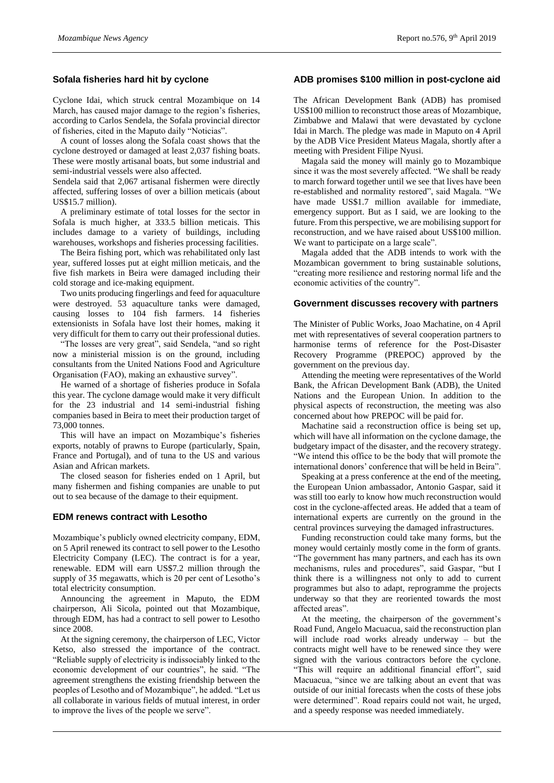#### **Sofala fisheries hard hit by cyclone**

Cyclone Idai, which struck central Mozambique on 14 March, has caused major damage to the region's fisheries, according to Carlos Sendela, the Sofala provincial director of fisheries, cited in the Maputo daily "Noticias".

A count of losses along the Sofala coast shows that the cyclone destroyed or damaged at least 2,037 fishing boats. These were mostly artisanal boats, but some industrial and semi-industrial vessels were also affected.

Sendela said that 2,067 artisanal fishermen were directly affected, suffering losses of over a billion meticais (about US\$15.7 million).

A preliminary estimate of total losses for the sector in Sofala is much higher, at 333.5 billion meticais. This includes damage to a variety of buildings, including warehouses, workshops and fisheries processing facilities.

The Beira fishing port, which was rehabilitated only last year, suffered losses put at eight million meticais, and the five fish markets in Beira were damaged including their cold storage and ice-making equipment.

Two units producing fingerlings and feed for aquaculture were destroyed. 53 aquaculture tanks were damaged, causing losses to 104 fish farmers. 14 fisheries extensionists in Sofala have lost their homes, making it very difficult for them to carry out their professional duties.

"The losses are very great", said Sendela, "and so right now a ministerial mission is on the ground, including consultants from the United Nations Food and Agriculture Organisation (FAO), making an exhaustive survey".

He warned of a shortage of fisheries produce in Sofala this year. The cyclone damage would make it very difficult for the 23 industrial and 14 semi-industrial fishing companies based in Beira to meet their production target of 73,000 tonnes.

This will have an impact on Mozambique's fisheries exports, notably of prawns to Europe (particularly, Spain, France and Portugal), and of tuna to the US and various Asian and African markets.

The closed season for fisheries ended on 1 April, but many fishermen and fishing companies are unable to put out to sea because of the damage to their equipment.

#### **EDM renews contract with Lesotho**

Mozambique's publicly owned electricity company, EDM, on 5 April renewed its contract to sell power to the Lesotho Electricity Company (LEC). The contract is for a year, renewable. EDM will earn US\$7.2 million through the supply of 35 megawatts, which is 20 per cent of Lesotho's total electricity consumption.

Announcing the agreement in Maputo, the EDM chairperson, Ali Sicola, pointed out that Mozambique, through EDM, has had a contract to sell power to Lesotho since 2008.

At the signing ceremony, the chairperson of LEC, Victor Ketso, also stressed the importance of the contract. "Reliable supply of electricity is indissociably linked to the economic development of our countries", he said. "The agreement strengthens the existing friendship between the peoples of Lesotho and of Mozambique", he added. "Let us all collaborate in various fields of mutual interest, in order to improve the lives of the people we serve".

### **ADB promises \$100 million in post-cyclone aid**

The African Development Bank (ADB) has promised US\$100 million to reconstruct those areas of Mozambique, Zimbabwe and Malawi that were devastated by cyclone Idai in March. The pledge was made in Maputo on 4 April by the ADB Vice President Mateus Magala, shortly after a meeting with President Filipe Nyusi.

Magala said the money will mainly go to Mozambique since it was the most severely affected. "We shall be ready to march forward together until we see that lives have been re-established and normality restored", said Magala. "We have made US\$1.7 million available for immediate, emergency support. But as I said, we are looking to the future. From this perspective, we are mobilising support for reconstruction, and we have raised about US\$100 million. We want to participate on a large scale".

Magala added that the ADB intends to work with the Mozambican government to bring sustainable solutions, "creating more resilience and restoring normal life and the economic activities of the country".

#### **Government discusses recovery with partners**

The Minister of Public Works, Joao Machatine, on 4 April met with representatives of several cooperation partners to harmonise terms of reference for the Post-Disaster Recovery Programme (PREPOC) approved by the government on the previous day.

Attending the meeting were representatives of the World Bank, the African Development Bank (ADB), the United Nations and the European Union. In addition to the physical aspects of reconstruction, the meeting was also concerned about how PREPOC will be paid for.

Machatine said a reconstruction office is being set up, which will have all information on the cyclone damage, the budgetary impact of the disaster, and the recovery strategy. "We intend this office to be the body that will promote the international donors' conference that will be held in Beira".

Speaking at a press conference at the end of the meeting, the European Union ambassador, Antonio Gaspar, said it was still too early to know how much reconstruction would cost in the cyclone-affected areas. He added that a team of international experts are currently on the ground in the central provinces surveying the damaged infrastructures.

Funding reconstruction could take many forms, but the money would certainly mostly come in the form of grants. "The government has many partners, and each has its own mechanisms, rules and procedures", said Gaspar, "but I think there is a willingness not only to add to current programmes but also to adapt, reprogramme the projects underway so that they are reoriented towards the most affected areas".

At the meeting, the chairperson of the government's Road Fund, Angelo Macuacua, said the reconstruction plan will include road works already underway – but the contracts might well have to be renewed since they were signed with the various contractors before the cyclone. "This will require an additional financial effort", said Macuacua, "since we are talking about an event that was outside of our initial forecasts when the costs of these jobs were determined". Road repairs could not wait, he urged, and a speedy response was needed immediately.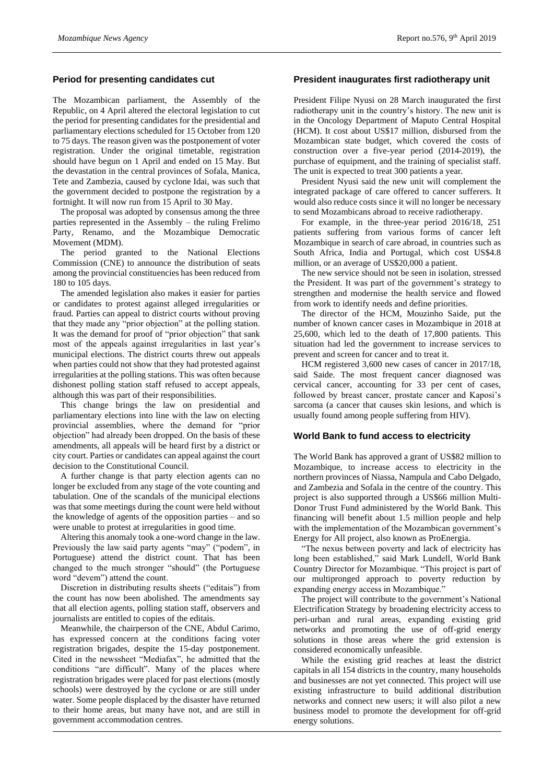### **Period for presenting candidates cut**

The Mozambican parliament, the Assembly of the Republic, on 4 April altered the electoral legislation to cut the period for presenting candidates for the presidential and parliamentary elections scheduled for 15 October from 120 to 75 days. The reason given was the postponement of voter registration. Under the original timetable, registration should have begun on 1 April and ended on 15 May. But the devastation in the central provinces of Sofala, Manica, Tete and Zambezia, caused by cyclone Idai, was such that the government decided to postpone the registration by a fortnight. It will now run from 15 April to 30 May.

The proposal was adopted by consensus among the three parties represented in the Assembly – the ruling Frelimo Party, Renamo, and the Mozambique Democratic Movement (MDM).

The period granted to the National Elections Commission (CNE) to announce the distribution of seats among the provincial constituencies has been reduced from 180 to 105 days.

The amended legislation also makes it easier for parties or candidates to protest against alleged irregularities or fraud. Parties can appeal to district courts without proving that they made any "prior objection" at the polling station. It was the demand for proof of "prior objection" that sank most of the appeals against irregularities in last year's municipal elections. The district courts threw out appeals when parties could not show that they had protested against irregularities at the polling stations. This was often because dishonest polling station staff refused to accept appeals, although this was part of their responsibilities.

This change brings the law on presidential and parliamentary elections into line with the law on electing provincial assemblies, where the demand for "prior objection" had already been dropped. On the basis of these amendments, all appeals will be heard first by a district or city court. Parties or candidates can appeal against the court decision to the Constitutional Council.

A further change is that party election agents can no longer be excluded from any stage of the vote counting and tabulation. One of the scandals of the municipal elections was that some meetings during the count were held without the knowledge of agents of the opposition parties – and so were unable to protest at irregularities in good time.

Altering this anomaly took a one-word change in the law. Previously the law said party agents "may" ("podem", in Portuguese) attend the district count. That has been changed to the much stronger "should" (the Portuguese word "devem") attend the count.

Discretion in distributing results sheets ("editais") from the count has now been abolished. The amendments say that all election agents, polling station staff, observers and journalists are entitled to copies of the editais.

Meanwhile, the chairperson of the CNE, Abdul Carimo, has expressed concern at the conditions facing voter registration brigades, despite the 15-day postponement. Cited in the newssheet "Mediafax", he admitted that the conditions "are difficult". Many of the places where registration brigades were placed for past elections (mostly schools) were destroyed by the cyclone or are still under water. Some people displaced by the disaster have returned to their home areas, but many have not, and are still in government accommodation centres.

### **President inaugurates first radiotherapy unit**

President Filipe Nyusi on 28 March inaugurated the first radiotherapy unit in the country's history. The new unit is in the Oncology Department of Maputo Central Hospital (HCM). It cost about US\$17 million, disbursed from the Mozambican state budget, which covered the costs of construction over a five-year period (2014-2019), the purchase of equipment, and the training of specialist staff. The unit is expected to treat 300 patients a year.

President Nyusi said the new unit will complement the integrated package of care offered to cancer sufferers. It would also reduce costs since it will no longer be necessary to send Mozambicans abroad to receive radiotherapy.

For example, in the three-year period 2016/18, 251 patients suffering from various forms of cancer left Mozambique in search of care abroad, in countries such as South Africa, India and Portugal, which cost US\$4.8 million, or an average of US\$20,000 a patient.

The new service should not be seen in isolation, stressed the President. It was part of the government's strategy to strengthen and modernise the health service and flowed from work to identify needs and define priorities.

The director of the HCM, Mouzinho Saide, put the number of known cancer cases in Mozambique in 2018 at 25,600, which led to the death of 17,800 patients. This situation had led the government to increase services to prevent and screen for cancer and to treat it.

HCM registered 3,600 new cases of cancer in 2017/18, said Saide. The most frequent cancer diagnosed was cervical cancer, accounting for 33 per cent of cases, followed by breast cancer, prostate cancer and Kaposi's sarcoma (a cancer that causes skin lesions, and which is usually found among people suffering from HIV).

#### **World Bank to fund access to electricity**

The World Bank has approved a grant of US\$82 million to Mozambique, to increase access to electricity in the northern provinces of Niassa, Nampula and Cabo Delgado, and Zambezia and Sofala in the centre of the country. This project is also supported through a US\$66 million Multi-Donor Trust Fund administered by the World Bank. This financing will benefit about 1.5 million people and help with the implementation of the Mozambican government's Energy for All project, also known as ProEnergia.

"The nexus between poverty and lack of electricity has long been established," said Mark Lundell, World Bank Country Director for Mozambique. "This project is part of our multipronged approach to poverty reduction by expanding energy access in Mozambique."

The project will contribute to the government's National Electrification Strategy by broadening electricity access to peri-urban and rural areas, expanding existing grid networks and promoting the use of off-grid energy solutions in those areas where the grid extension is considered economically unfeasible.

While the existing grid reaches at least the district capitals in all 154 districts in the country, many households and businesses are not yet connected. This project will use existing infrastructure to build additional distribution networks and connect new users; it will also pilot a new business model to promote the development for off-grid energy solutions.